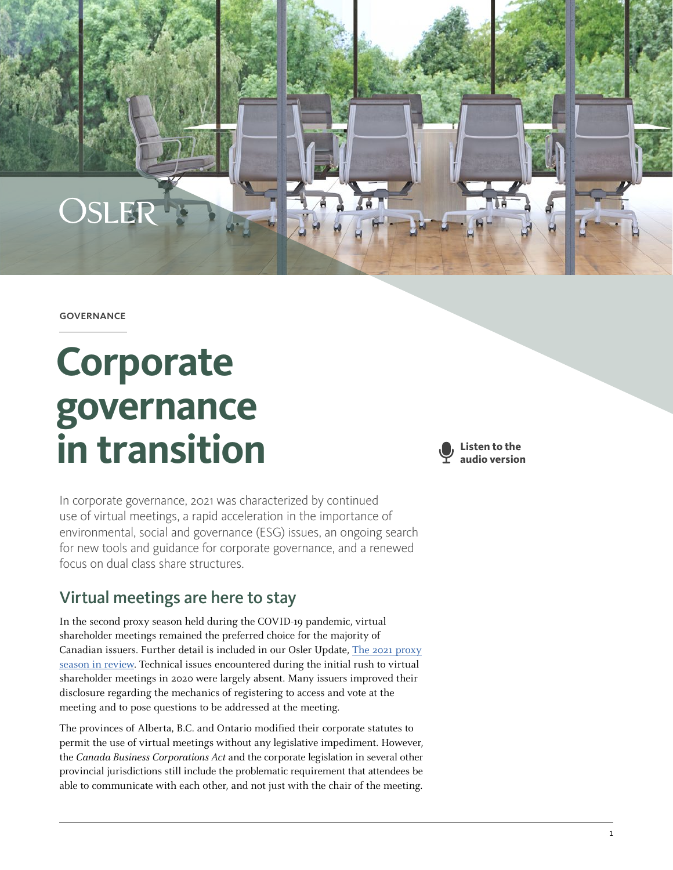**GOVERNANCE** 

OSLER

# **Corporate governance in transition**



In corporate governance, 2021 was characterized by continued use of virtual meetings, a rapid acceleration in the importance of environmental, social and governance (ESG) issues, an ongoing search for new tools and guidance for corporate governance, and a renewed focus on dual class share structures.

# Virtual meetings are here to stay

In the second proxy season held during the COVID-19 pandemic, virtual shareholder meetings remained the preferred choice for the majority of Canadian issuers. Further detail is included in our Osler Update, [The 2021 proxy](https://www.osler.com/en/resources/governance/2021/the-2021-proxy-season-in-review) [season in review](https://www.osler.com/en/resources/governance/2021/the-2021-proxy-season-in-review). Technical issues encountered during the initial rush to virtual shareholder meetings in 2020 were largely absent. Many issuers improved their disclosure regarding the mechanics of registering to access and vote at the meeting and to pose questions to be addressed at the meeting.

The provinces of Alberta, B.C. and Ontario modified their corporate statutes to permit the use of virtual meetings without any legislative impediment. However, the Canada Business Corporations Act and the corporate legislation in several other provincial jurisdictions still include the problematic requirement that attendees be able to communicate with each other, and not just with the chair of the meeting.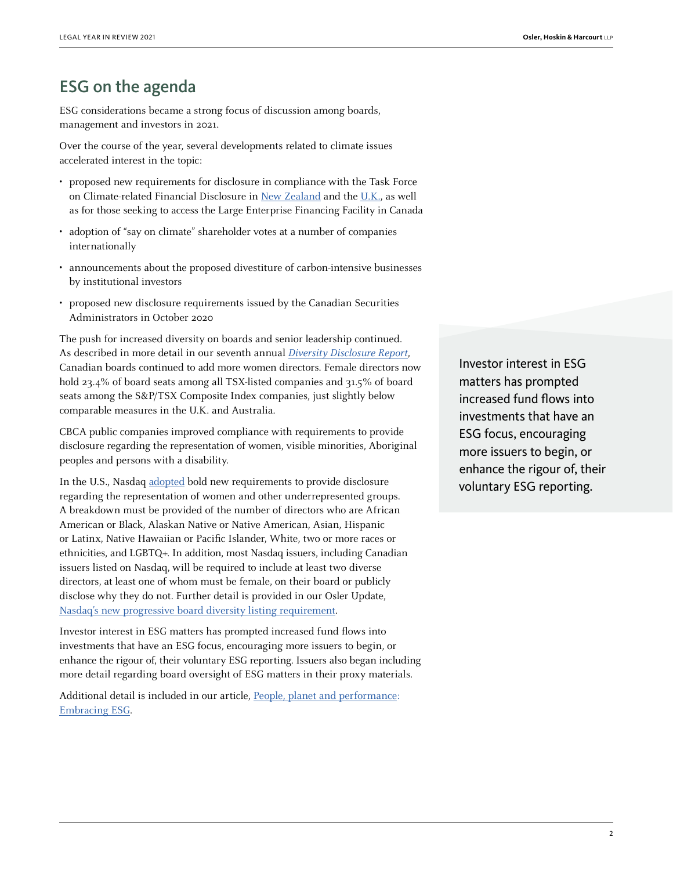# ESG on the agenda

ESG considerations became a strong focus of discussion among boards, management and investors in 2021.

Over the course of the year, several developments related to climate issues accelerated interest in the topic:

- proposed new requirements for disclosure in compliance with the Task Force on Climate-related Financial Disclosure in [New Zealand](https://environment.govt.nz/what-government-is-doing/areas-of-work/climate-change/mandatory-climate-related-financial-disclosures/) and the [U.K.](https://www.gov.uk/government/news/uk-to-enshrine-mandatory-climate-disclosures-for-largest-companies-in-law), as well as for those seeking to access the Large Enterprise Financing Facility in Canada
- adoption of "say on climate" shareholder votes at a number of companies internationally
- announcements about the proposed divestiture of carbon-intensive businesses by institutional investors
- proposed new disclosure requirements issued by the Canadian Securities Administrators in October 2020

The push for increased diversity on boards and senior leadership continued. As described in more detail in our seventh annual [Diversity Disclosure Report](https://www.osler.com/osler/media/Osler/reports/corporate-governance/Osler-Diversity-Disclosure-Practices-report-2021.pdf), Canadian boards continued to add more women directors. Female directors now hold 23.4% of board seats among all TSX-listed companies and 31.5% of board seats among the S&P/TSX Composite Index companies, just slightly below comparable measures in the U.K. and Australia.

CBCA public companies improved compliance with requirements to provide disclosure regarding the representation of women, visible minorities, Aboriginal peoples and persons with a disability.

In the U.S., Nasdaq [adopted](https://listingcenter.nasdaq.com/rulebook/Nasdaq/rules/Nasdaq-5600-Series/black native asian/ALL/#position) bold new requirements to provide disclosure regarding the representation of women and other underrepresented groups. A breakdown must be provided of the number of directors who are African American or Black, Alaskan Native or Native American, Asian, Hispanic or Latinx, Native Hawaiian or Pacific Islander, White, two or more races or ethnicities, and LGBTQ+. In addition, most Nasdaq issuers, including Canadian issuers listed on Nasdaq, will be required to include at least two diverse directors, at least one of whom must be female, on their board or publicly disclose why they do not. Further detail is provided in our Osler Update, [Nasdaq's new progressive board diversity listing requirement](https://www.osler.com/en/resources/regulations/2021/nasdaq-s-new-progressive-board-diversity-listing-requirement).

Investor interest in ESG matters has prompted increased fund flows into investments that have an ESG focus, encouraging more issuers to begin, or enhance the rigour of, their voluntary ESG reporting. Issuers also began including more detail regarding board oversight of ESG matters in their proxy materials.

Additional detail is included in our article, [People, planet and performance:](https://legalyearinreview.ca/people-planet-and-performance-embracing-esg/)  [Embracing ESG](https://legalyearinreview.ca/people-planet-and-performance-embracing-esg/).

Investor interest in ESG matters has prompted increased fund flows into investments that have an ESG focus, encouraging more issuers to begin, or enhance the rigour of, their voluntary ESG reporting.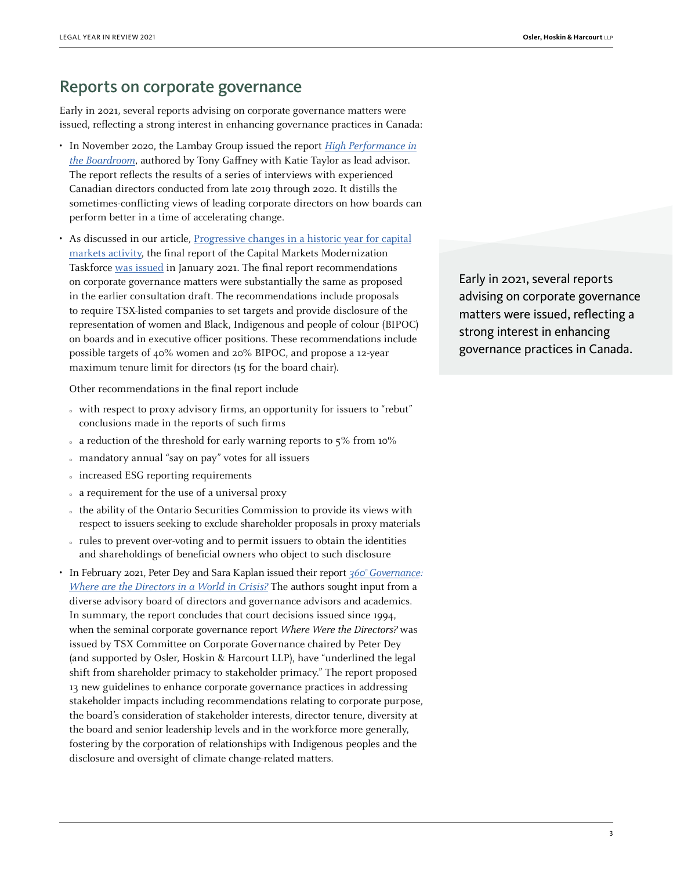### Reports on corporate governance

Early in 2021, several reports advising on corporate governance matters were issued, reflecting a strong interest in enhancing governance practices in Canada:

- In November 2020, the Lambay Group issued the report [High Performance in](https://lambaygroup.com/wp-content/uploads/2020/10/Lambay_High_Performance_in_the_Boradroom-May18-2021.pdf) [the Boardroom](https://lambaygroup.com/wp-content/uploads/2020/10/Lambay_High_Performance_in_the_Boradroom-May18-2021.pdf), authored by Tony Gaffney with Katie Taylor as lead advisor. The report reflects the results of a series of interviews with experienced Canadian directors conducted from late 2019 through 2020. It distills the sometimes-conflicting views of leading corporate directors on how boards can perform better in a time of accelerating change.
- As discussed in our article, [Progressive changes in a historic year for capital](https://legalyearinreview.ca/progressive-changes-in-a-historic-year-for-capital-markets-activity/) [markets activity,](https://legalyearinreview.ca/progressive-changes-in-a-historic-year-for-capital-markets-activity/) the final report of the Capital Markets Modernization Taskforce [was issued](https://files.ontario.ca/books/mof-capital-markets-modernization-taskforce-final-report-en-2021-01-22-v2.pdf) in January 2021. The final report recommendations on corporate governance matters were substantially the same as proposed in the earlier consultation draft. The recommendations include proposals to require TSX-listed companies to set targets and provide disclosure of the representation of women and Black, Indigenous and people of colour (BIPOC) on boards and in executive officer positions. These recommendations include possible targets of 40% women and 20% BIPOC, and propose a 12-year maximum tenure limit for directors (15 for the board chair).

Other recommendations in the final report include

- $\circ$  with respect to proxy advisory firms, an opportunity for issuers to "rebut" conclusions made in the reports of such firms
- $\alpha$  a reduction of the threshold for early warning reports to 5% from 10%
- { mandatory annual "say on pay" votes for all issuers
- $\cdot$  increased ESG reporting requirements
- a requirement for the use of a universal proxy
- { the ability of the Ontario Securities Commission to provide its views with respect to issuers seeking to exclude shareholder proposals in proxy materials
- rules to prevent over-voting and to permit issuers to obtain the identities and shareholdings of beneficial owners who object to such disclosure
- In February 2021, Peter Dey and Sara Kaplan issued their report [360° Governance:](https://www.rotman.utoronto.ca/-/media/Files/Programs-and-Areas/lee-Chin_Institute/360Governance-Dey_Kaplan_FEB22.pdf?la=en&hash=9F6A2CDC84EB9FE493704D791B123B6FA158BFEE) [Where are the Directors in a World in Crisis?](https://www.rotman.utoronto.ca/-/media/Files/Programs-and-Areas/lee-Chin_Institute/360Governance-Dey_Kaplan_FEB22.pdf?la=en&hash=9F6A2CDC84EB9FE493704D791B123B6FA158BFEE) The authors sought input from a diverse advisory board of directors and governance advisors and academics. In summary, the report concludes that court decisions issued since 1994, when the seminal corporate governance report Where Were the Directors? was issued by TSX Committee on Corporate Governance chaired by Peter Dey (and supported by Osler, Hoskin & Harcourt LLP), have "underlined the legal shift from shareholder primacy to stakeholder primacy." The report proposed 13 new guidelines to enhance corporate governance practices in addressing stakeholder impacts including recommendations relating to corporate purpose, the board's consideration of stakeholder interests, director tenure, diversity at the board and senior leadership levels and in the workforce more generally, fostering by the corporation of relationships with Indigenous peoples and the disclosure and oversight of climate change-related matters.

Early in 2021, several reports advising on corporate governance matters were issued, reflecting a strong interest in enhancing governance practices in Canada.